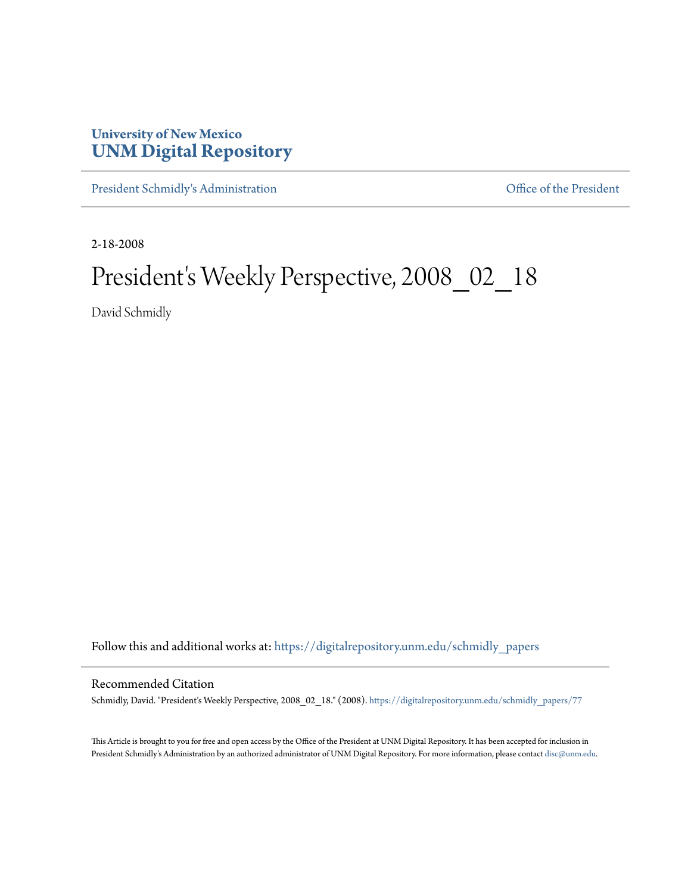## **University of New Mexico [UNM Digital Repository](https://digitalrepository.unm.edu?utm_source=digitalrepository.unm.edu%2Fschmidly_papers%2F77&utm_medium=PDF&utm_campaign=PDFCoverPages)**

[President Schmidly's Administration](https://digitalrepository.unm.edu/schmidly_papers?utm_source=digitalrepository.unm.edu%2Fschmidly_papers%2F77&utm_medium=PDF&utm_campaign=PDFCoverPages) [Office of the President](https://digitalrepository.unm.edu/ofc_president?utm_source=digitalrepository.unm.edu%2Fschmidly_papers%2F77&utm_medium=PDF&utm_campaign=PDFCoverPages)

2-18-2008

## President's Weekly Perspective, 2008\_02\_18

David Schmidly

Follow this and additional works at: [https://digitalrepository.unm.edu/schmidly\\_papers](https://digitalrepository.unm.edu/schmidly_papers?utm_source=digitalrepository.unm.edu%2Fschmidly_papers%2F77&utm_medium=PDF&utm_campaign=PDFCoverPages)

## Recommended Citation

Schmidly, David. "President's Weekly Perspective, 2008\_02\_18." (2008). [https://digitalrepository.unm.edu/schmidly\\_papers/77](https://digitalrepository.unm.edu/schmidly_papers/77?utm_source=digitalrepository.unm.edu%2Fschmidly_papers%2F77&utm_medium=PDF&utm_campaign=PDFCoverPages)

This Article is brought to you for free and open access by the Office of the President at UNM Digital Repository. It has been accepted for inclusion in President Schmidly's Administration by an authorized administrator of UNM Digital Repository. For more information, please contact [disc@unm.edu](mailto:disc@unm.edu).